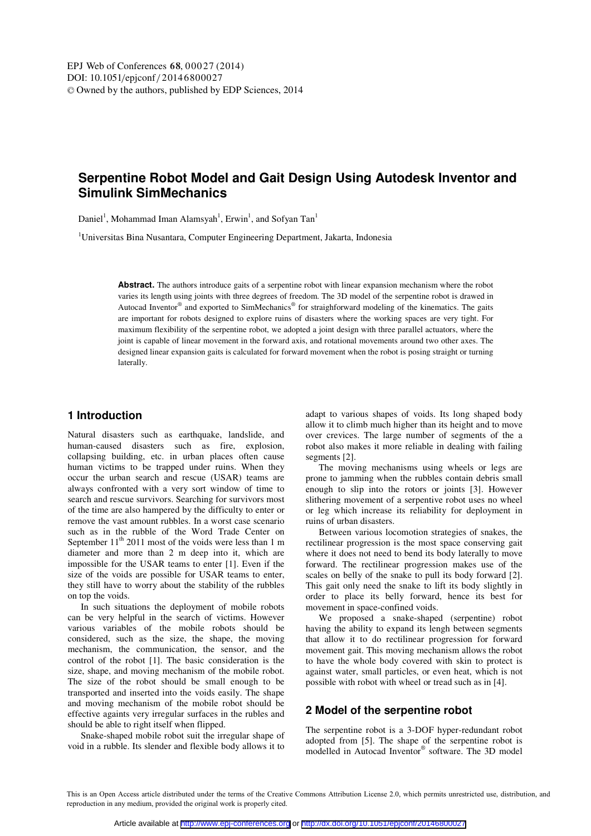# **Serpentine Robot Model and Gait Design Using Autodesk Inventor and Simulink SimMechanics**

Daniel<sup>1</sup>, Mohammad Iman Alamsyah<sup>1</sup>, Erwin<sup>1</sup>, and Sofyan Tan<sup>1</sup>

<sup>1</sup>Universitas Bina Nusantara, Computer Engineering Department, Jakarta, Indonesia

**Abstract.** The authors introduce gaits of a serpentine robot with linear expansion mechanism where the robot varies its length using joints with three degrees of freedom. The 3D model of the serpentine robot is drawed in Autocad Inventor® and exported to SimMechanics® for straighforward modeling of the kinematics. The gaits are important for robots designed to explore ruins of disasters where the working spaces are very tight. For maximum flexibility of the serpentine robot, we adopted a joint design with three parallel actuators, where the joint is capable of linear movement in the forward axis, and rotational movements around two other axes. The designed linear expansion gaits is calculated for forward movement when the robot is posing straight or turning laterally.

#### **1 Introduction**

Natural disasters such as earthquake, landslide, and human-caused disasters such as fire, explosion, collapsing building, etc. in urban places often cause human victims to be trapped under ruins. When they occur the urban search and rescue (USAR) teams are always confronted with a very sort window of time to search and rescue survivors. Searching for survivors most of the time are also hampered by the difficulty to enter or remove the vast amount rubbles. In a worst case scenario such as in the rubble of the Word Trade Center on September  $11<sup>th</sup>$  2011 most of the voids were less than 1 m diameter and more than 2 m deep into it, which are impossible for the USAR teams to enter [1]. Even if the size of the voids are possible for USAR teams to enter, they still have to worry about the stability of the rubbles on top the voids.

In such situations the deployment of mobile robots can be very helpful in the search of victims. However various variables of the mobile robots should be considered, such as the size, the shape, the moving mechanism, the communication, the sensor, and the control of the robot [1]. The basic consideration is the size, shape, and moving mechanism of the mobile robot. The size of the robot should be small enough to be transported and inserted into the voids easily. The shape and moving mechanism of the mobile robot should be effective againts very irregular surfaces in the rubles and should be able to right itself when flipped.

Snake-shaped mobile robot suit the irregular shape of void in a rubble. Its slender and flexible body allows it to adapt to various shapes of voids. Its long shaped body allow it to climb much higher than its height and to move over crevices. The large number of segments of the a robot also makes it more reliable in dealing with failing segments [2].

The moving mechanisms using wheels or legs are prone to jamming when the rubbles contain debris small enough to slip into the rotors or joints [3]. However slithering movement of a serpentive robot uses no wheel or leg which increase its reliability for deployment in ruins of urban disasters.

Between various locomotion strategies of snakes, the rectilinear progression is the most space conserving gait where it does not need to bend its body laterally to move forward. The rectilinear progression makes use of the scales on belly of the snake to pull its body forward [2]. This gait only need the snake to lift its body slightly in order to place its belly forward, hence its best for movement in space-confined voids.

We proposed a snake-shaped (serpentine) robot having the ability to expand its lengh between segments that allow it to do rectilinear progression for forward movement gait. This moving mechanism allows the robot to have the whole body covered with skin to protect is against water, small particles, or even heat, which is not possible with robot with wheel or tread such as in [4].

## **2 Model of the serpentine robot**

The serpentine robot is a 3-DOF hyper-redundant robot adopted from [5]. The shape of the serpentine robot is modelled in Autocad Inventor® software. The 3D model

This is an Open Access article distributed under the terms of the Creative Commons Attribution License 2.0, which permits unrestricted use, distribution, and reproduction in any medium, provided the original work is properly cited.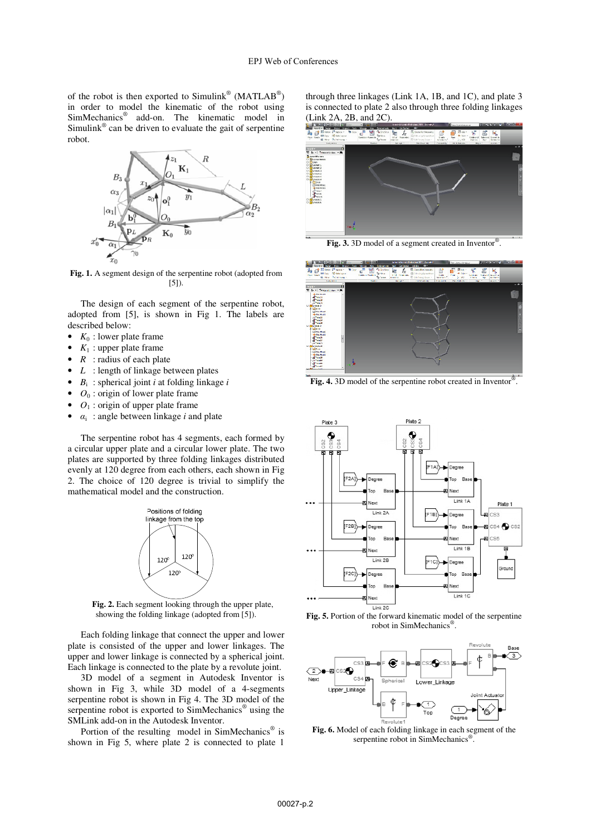of the robot is then exported to Simulink<sup>®</sup> (MATLAB<sup>®</sup>) in order to model the kinematic of the robot using SimMechanics® add-on. The kinematic model in Simulink® can be driven to evaluate the gait of serpentine robot.



**Fig. 1.** A segment design of the serpentine robot (adopted from [5]).

The design of each segment of the serpentine robot, adopted from [5], is shown in Fig 1. The labels are described below:

- $K_0$ : lower plate frame
- $K_1$ : upper plate frame
- $R$ : radius of each plate
- $L$ : length of linkage between plates
- $B_i$ : spherical joint *i* at folding linkage *i*
- $O_0$ : origin of lower plate frame
- $O_1$ : origin of upper plate frame
- $\bullet$   $\alpha_i$ : angle between linkage *i* and plate

The serpentine robot has 4 segments, each formed by a circular upper plate and a circular lower plate. The two plates are supported by three folding linkages distributed evenly at 120 degree from each others, each shown in Fig 2. The choice of 120 degree is trivial to simplify the mathematical model and the construction.



**Fig. 2.** Each segment looking through the upper plate, showing the folding linkage (adopted from [5]).

Each folding linkage that connect the upper and lower plate is consisted of the upper and lower linkages. The upper and lower linkage is connected by a spherical joint. Each linkage is connected to the plate by a revolute joint.

3D model of a segment in Autodesk Inventor is shown in Fig 3, while 3D model of a 4-segments serpentine robot is shown in Fig 4. The 3D model of the serpentine robot is exported to SimMechanics<sup>®</sup> using the SMLink add-on in the Autodesk Inventor.

Portion of the resulting model in SimMechanics® is shown in Fig 5, where plate 2 is connected to plate 1

through three linkages (Link 1A, 1B, and 1C), and plate 3 is connected to plate 2 also through three folding linkages  $(Link 2A, 2B, and 2C).$ 



**Fig. 3.** 3D model of a segment created in Inventor®.



**Fig. 4.** 3D model of the serpentine robot created in Inventor®.



**Fig. 5.** Portion of the forward kinematic model of the serpentine robot in SimMechanics®.



**Fig. 6.** Model of each folding linkage in each segment of the serpentine robot in SimMechanics<sup>®</sup>.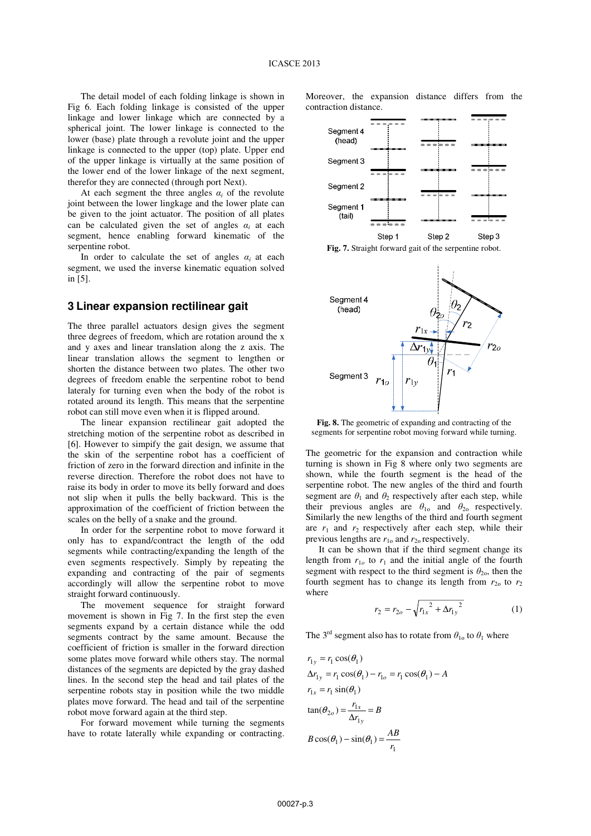The detail model of each folding linkage is shown in Fig 6. Each folding linkage is consisted of the upper linkage and lower linkage which are connected by a spherical joint. The lower linkage is connected to the lower (base) plate through a revolute joint and the upper linkage is connected to the upper (top) plate. Upper end of the upper linkage is virtually at the same position of the lower end of the lower linkage of the next segment, therefor they are connected (through port Next).

At each segment the three angles  $\alpha_i$  of the revolute joint between the lower lingkage and the lower plate can be given to the joint actuator. The position of all plates can be calculated given the set of angles  $\alpha_i$  at each segment, hence enabling forward kinematic of the serpentine robot.

In order to calculate the set of angles  $\alpha_i$  at each segment, we used the inverse kinematic equation solved in [5].

#### **3 Linear expansion rectilinear gait**

The three parallel actuators design gives the segment three degrees of freedom, which are rotation around the x and y axes and linear translation along the z axis. The linear translation allows the segment to lengthen or shorten the distance between two plates. The other two degrees of freedom enable the serpentine robot to bend lateraly for turning even when the body of the robot is rotated around its length. This means that the serpentine robot can still move even when it is flipped around.

The linear expansion rectilinear gait adopted the stretching motion of the serpentine robot as described in [6]. However to simpify the gait design, we assume that the skin of the serpentine robot has a coefficient of friction of zero in the forward direction and infinite in the reverse direction. Therefore the robot does not have to raise its body in order to move its belly forward and does not slip when it pulls the belly backward. This is the approximation of the coefficient of friction between the scales on the belly of a snake and the ground.

In order for the serpentine robot to move forward it only has to expand/contract the length of the odd segments while contracting/expanding the length of the even segments respectively. Simply by repeating the expanding and contracting of the pair of segments accordingly will allow the serpentine robot to move straight forward continuously.

The movement sequence for straight forward movement is shown in Fig 7. In the first step the even segments expand by a certain distance while the odd segments contract by the same amount. Because the coefficient of friction is smaller in the forward direction some plates move forward while others stay. The normal distances of the segments are depicted by the gray dashed lines. In the second step the head and tail plates of the serpentine robots stay in position while the two middle plates move forward. The head and tail of the serpentine robot move forward again at the third step.

For forward movement while turning the segments have to rotate laterally while expanding or contracting. Moreover, the expansion distance differs from the contraction distance.



**Fig. 7.** Straight forward gait of the serpentine robot.



**Fig. 8.** The geometric of expanding and contracting of the segments for serpentine robot moving forward while turning.

The geometric for the expansion and contraction while turning is shown in Fig 8 where only two segments are shown, while the fourth segment is the head of the serpentine robot. The new angles of the third and fourth segment are  $\theta_1$  and  $\theta_2$  respectively after each step, while their previous angles are  $\theta_{1o}$  and  $\theta_{2o}$  respectively. Similarly the new lengths of the third and fourth segment are  $r_1$  and  $r_2$  respectively after each step, while their previous lengths are *r*1o and *r*2o respectively.

It can be shown that if the third segment change its length from  $r_{10}$  to  $r_1$  and the initial angle of the fourth segment with respect to the third segment is  $\theta_{20}$ , then the fourth segment has to change its length from  $r_{20}$  to  $r_2$ where

$$
r_2 = r_{2o} - \sqrt{{r_{1x}}^2 + {\Delta r_{1y}}^2}
$$
 (1)

The 3<sup>rd</sup> segment also has to rotate from  $\theta_{10}$  to  $\theta_1$  where

$$
r_{1y} = r_1 \cos(\theta_1)
$$
  
\n
$$
\Delta r_{1y} = r_1 \cos(\theta_1) - r_{1o} = r_1 \cos(\theta_1) - A
$$
  
\n
$$
r_{1x} = r_1 \sin(\theta_1)
$$
  
\n
$$
\tan(\theta_{2o}) = \frac{r_{1x}}{\Delta r_{1y}} = B
$$
  
\n
$$
B \cos(\theta_1) - \sin(\theta_1) = \frac{AB}{r_1}
$$